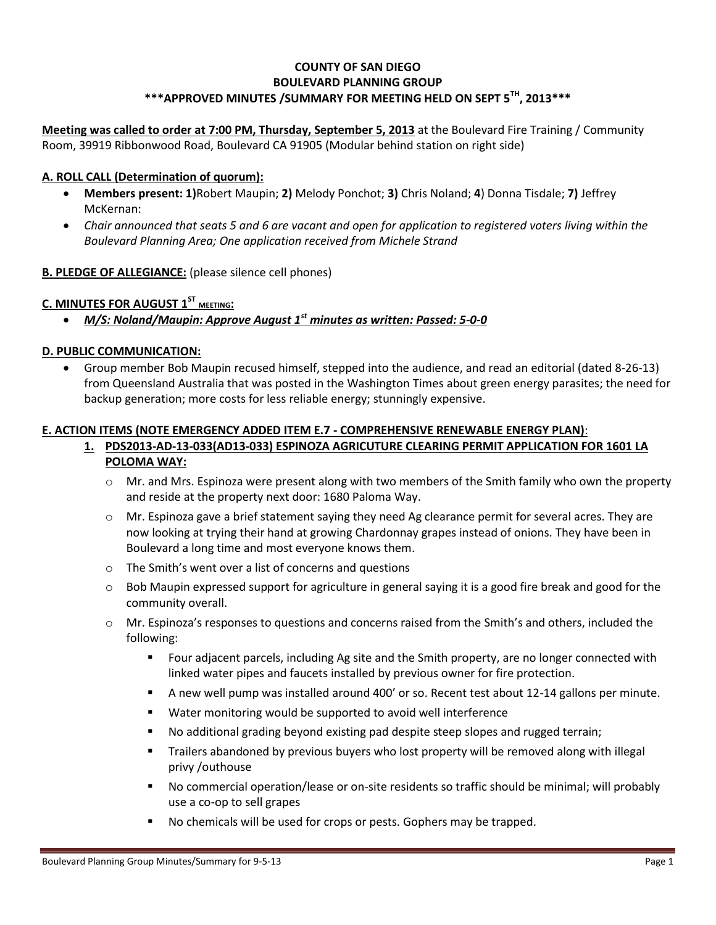## **COUNTY OF SAN DIEGO BOULEVARD PLANNING GROUP \*\*\*APPROVED MINUTES /SUMMARY FOR MEETING HELD ON SEPT 5TH, 2013\*\*\***

**Meeting was called to order at 7:00 PM, Thursday, September 5, 2013** at the Boulevard Fire Training / Community Room, 39919 Ribbonwood Road, Boulevard CA 91905 (Modular behind station on right side)

## **A. ROLL CALL (Determination of quorum):**

- **Members present: 1)**Robert Maupin; **2)** Melody Ponchot; **3)** Chris Noland; **4**) Donna Tisdale; **7)** Jeffrey McKernan:
- *Chair announced that seats 5 and 6 are vacant and open for application to registered voters living within the Boulevard Planning Area; One application received from Michele Strand*

### **B. PLEDGE OF ALLEGIANCE:** (please silence cell phones)

## **C. MINUTES FOR AUGUST 1 ST MEETING:**

*M/S: Noland/Maupin: Approve August 1st minutes as written: Passed: 5-0-0*

#### **D. PUBLIC COMMUNICATION:**

 Group member Bob Maupin recused himself, stepped into the audience, and read an editorial (dated 8-26-13) from Queensland Australia that was posted in the Washington Times about green energy parasites; the need for backup generation; more costs for less reliable energy; stunningly expensive.

## **E. ACTION ITEMS (NOTE EMERGENCY ADDED ITEM E.7 - COMPREHENSIVE RENEWABLE ENERGY PLAN)**:

## **1. PDS2013-AD-13-033(AD13-033) ESPINOZA AGRICUTURE CLEARING PERMIT APPLICATION FOR 1601 LA POLOMA WAY:**

- $\circ$  Mr. and Mrs. Espinoza were present along with two members of the Smith family who own the property and reside at the property next door: 1680 Paloma Way.
- o Mr. Espinoza gave a brief statement saying they need Ag clearance permit for several acres. They are now looking at trying their hand at growing Chardonnay grapes instead of onions. They have been in Boulevard a long time and most everyone knows them.
- o The Smith's went over a list of concerns and questions
- $\circ$  Bob Maupin expressed support for agriculture in general saying it is a good fire break and good for the community overall.
- o Mr. Espinoza's responses to questions and concerns raised from the Smith's and others, included the following:
	- Four adjacent parcels, including Ag site and the Smith property, are no longer connected with linked water pipes and faucets installed by previous owner for fire protection.
	- A new well pump was installed around 400' or so. Recent test about 12-14 gallons per minute.
	- Water monitoring would be supported to avoid well interference
	- No additional grading beyond existing pad despite steep slopes and rugged terrain;
	- **Trailers abandoned by previous buyers who lost property will be removed along with illegal** privy /outhouse
	- No commercial operation/lease or on-site residents so traffic should be minimal; will probably use a co-op to sell grapes
	- No chemicals will be used for crops or pests. Gophers may be trapped.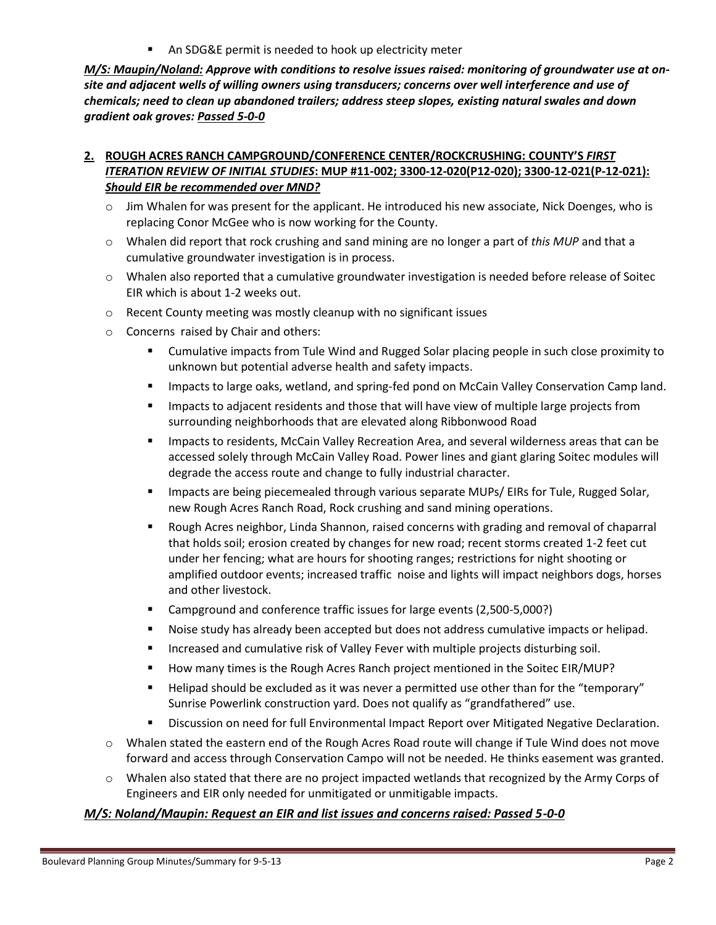An SDG&E permit is needed to hook up electricity meter

*M/S: Maupin/Noland: Approve with conditions to resolve issues raised: monitoring of groundwater use at onsite and adjacent wells of willing owners using transducers; concerns over well interference and use of chemicals; need to clean up abandoned trailers; address steep slopes, existing natural swales and down gradient oak groves: Passed 5-0-0*

# **2. ROUGH ACRES RANCH CAMPGROUND/CONFERENCE CENTER/ROCKCRUSHING: COUNTY'S** *FIRST ITERATION REVIEW OF INITIAL STUDIES***: MUP #11-002; 3300-12-020(P12-020); 3300-12-021(P-12-021):**  *Should EIR be recommended over MND?*

- $\circ$  Jim Whalen for was present for the applicant. He introduced his new associate, Nick Doenges, who is replacing Conor McGee who is now working for the County.
- o Whalen did report that rock crushing and sand mining are no longer a part of *this MUP* and that a cumulative groundwater investigation is in process.
- $\circ$  Whalen also reported that a cumulative groundwater investigation is needed before release of Soitec EIR which is about 1-2 weeks out.
- o Recent County meeting was mostly cleanup with no significant issues
- o Concerns raised by Chair and others:
	- Cumulative impacts from Tule Wind and Rugged Solar placing people in such close proximity to unknown but potential adverse health and safety impacts.
	- **Impacts to large oaks, wetland, and spring-fed pond on McCain Valley Conservation Camp land.**
	- **IMPACTS THE IMPACTS 10 ADDITE:** Impacts to adjacent residents and those that will have view of multiple large projects from surrounding neighborhoods that are elevated along Ribbonwood Road
	- **IMPACTS THE IMPACTS INCOM** Mecain Valley Recreation Area, and several wilderness areas that can be accessed solely through McCain Valley Road. Power lines and giant glaring Soitec modules will degrade the access route and change to fully industrial character.
	- **IMPACTED 19 Impacts are being piecemealed through various separate MUPs/ EIRs for Tule, Rugged Solar,** new Rough Acres Ranch Road, Rock crushing and sand mining operations.
	- Rough Acres neighbor, Linda Shannon, raised concerns with grading and removal of chaparral that holds soil; erosion created by changes for new road; recent storms created 1-2 feet cut under her fencing; what are hours for shooting ranges; restrictions for night shooting or amplified outdoor events; increased traffic noise and lights will impact neighbors dogs, horses and other livestock.
	- Campground and conference traffic issues for large events (2,500-5,000?)
	- **Noise study has already been accepted but does not address cumulative impacts or helipad.**
	- **Increased and cumulative risk of Valley Fever with multiple projects disturbing soil.**
	- **How many times is the Rough Acres Ranch project mentioned in the Soitec EIR/MUP?**
	- **Helipad should be excluded as it was never a permitted use other than for the "temporary"** Sunrise Powerlink construction yard. Does not qualify as "grandfathered" use.
	- **EXECT** Discussion on need for full Environmental Impact Report over Mitigated Negative Declaration.
- o Whalen stated the eastern end of the Rough Acres Road route will change if Tule Wind does not move forward and access through Conservation Campo will not be needed. He thinks easement was granted.
- $\circ$  Whalen also stated that there are no project impacted wetlands that recognized by the Army Corps of Engineers and EIR only needed for unmitigated or unmitigable impacts.

## *M/S: Noland/Maupin: Request an EIR and list issues and concerns raised: Passed 5-0-0*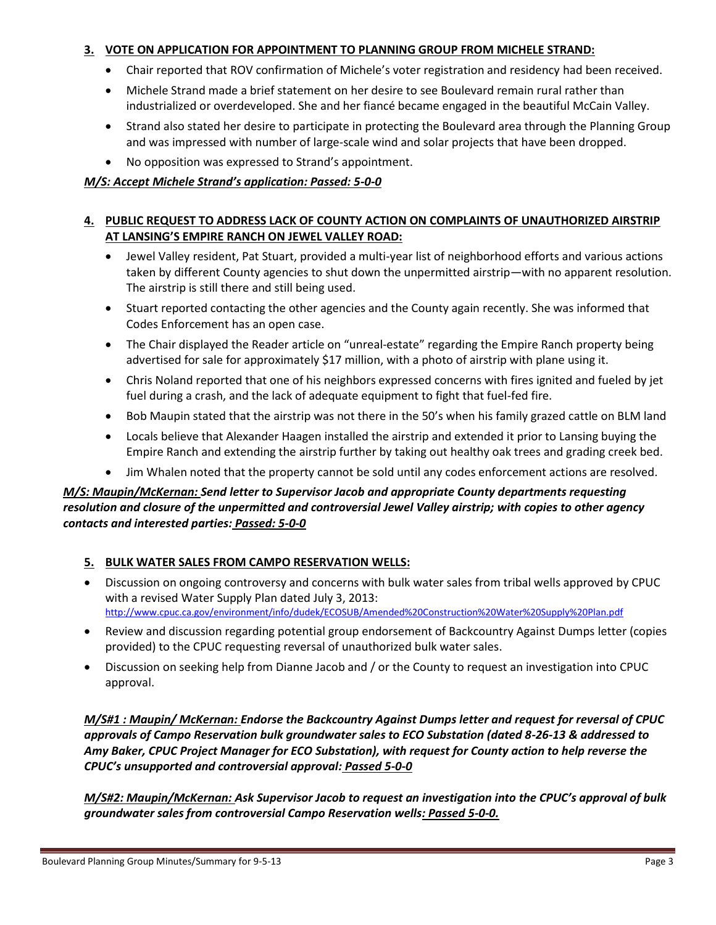### **3. VOTE ON APPLICATION FOR APPOINTMENT TO PLANNING GROUP FROM MICHELE STRAND:**

- Chair reported that ROV confirmation of Michele's voter registration and residency had been received.
- Michele Strand made a brief statement on her desire to see Boulevard remain rural rather than industrialized or overdeveloped. She and her fiancé became engaged in the beautiful McCain Valley.
- Strand also stated her desire to participate in protecting the Boulevard area through the Planning Group and was impressed with number of large-scale wind and solar projects that have been dropped.
- No opposition was expressed to Strand's appointment.

### *M/S: Accept Michele Strand's application: Passed: 5-0-0*

# **4. PUBLIC REQUEST TO ADDRESS LACK OF COUNTY ACTION ON COMPLAINTS OF UNAUTHORIZED AIRSTRIP AT LANSING'S EMPIRE RANCH ON JEWEL VALLEY ROAD:**

- Jewel Valley resident, Pat Stuart, provided a multi-year list of neighborhood efforts and various actions taken by different County agencies to shut down the unpermitted airstrip—with no apparent resolution. The airstrip is still there and still being used.
- Stuart reported contacting the other agencies and the County again recently. She was informed that Codes Enforcement has an open case.
- The Chair displayed the Reader article on "unreal-estate" regarding the Empire Ranch property being advertised for sale for approximately \$17 million, with a photo of airstrip with plane using it.
- Chris Noland reported that one of his neighbors expressed concerns with fires ignited and fueled by jet fuel during a crash, and the lack of adequate equipment to fight that fuel-fed fire.
- Bob Maupin stated that the airstrip was not there in the 50's when his family grazed cattle on BLM land
- Locals believe that Alexander Haagen installed the airstrip and extended it prior to Lansing buying the Empire Ranch and extending the airstrip further by taking out healthy oak trees and grading creek bed.
- Jim Whalen noted that the property cannot be sold until any codes enforcement actions are resolved.

## *M/S: Maupin/McKernan: Send letter to Supervisor Jacob and appropriate County departments requesting resolution and closure of the unpermitted and controversial Jewel Valley airstrip; with copies to other agency contacts and interested parties: Passed: 5-0-0*

## **5. BULK WATER SALES FROM CAMPO RESERVATION WELLS:**

- Discussion on ongoing controversy and concerns with bulk water sales from tribal wells approved by CPUC with a revised Water Supply Plan dated July 3, 2013: http://www.cpuc.ca.gov/environment/info/dudek/ECOSUB/Amended%20Construction%20Water%20Supply%20Plan.pdf
- Review and discussion regarding potential group endorsement of Backcountry Against Dumps letter (copies provided) to the CPUC requesting reversal of unauthorized bulk water sales.
- Discussion on seeking help from Dianne Jacob and / or the County to request an investigation into CPUC approval.

*M/S#1 : Maupin/ McKernan: Endorse the Backcountry Against Dumps letter and request for reversal of CPUC approvals of Campo Reservation bulk groundwater sales to ECO Substation (dated 8-26-13 & addressed to Amy Baker, CPUC Project Manager for ECO Substation), with request for County action to help reverse the CPUC's unsupported and controversial approval: Passed 5-0-0* 

*M/S#2: Maupin/McKernan: Ask Supervisor Jacob to request an investigation into the CPUC's approval of bulk groundwater sales from controversial Campo Reservation wells: Passed 5-0-0.*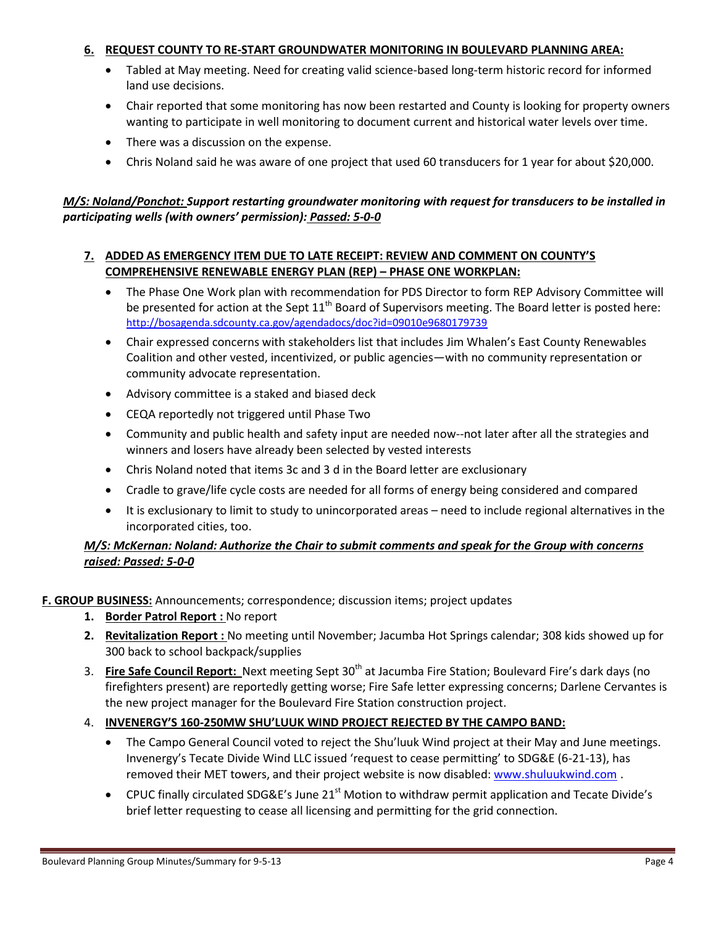### **6. REQUEST COUNTY TO RE-START GROUNDWATER MONITORING IN BOULEVARD PLANNING AREA:**

- Tabled at May meeting. Need for creating valid science-based long-term historic record for informed land use decisions.
- Chair reported that some monitoring has now been restarted and County is looking for property owners wanting to participate in well monitoring to document current and historical water levels over time.
- There was a discussion on the expense.
- Chris Noland said he was aware of one project that used 60 transducers for 1 year for about \$20,000.

# *M/S: Noland/Ponchot: Support restarting groundwater monitoring with request for transducers to be installed in participating wells (with owners' permission): Passed: 5-0-0*

## **7. ADDED AS EMERGENCY ITEM DUE TO LATE RECEIPT: REVIEW AND COMMENT ON COUNTY'S COMPREHENSIVE RENEWABLE ENERGY PLAN (REP) – PHASE ONE WORKPLAN:**

- The Phase One Work plan with recommendation for PDS Director to form REP Advisory Committee will be presented for action at the Sept  $11<sup>th</sup>$  Board of Supervisors meeting. The Board letter is posted here: http://bosagenda.sdcounty.ca.gov/agendadocs/doc?id=09010e9680179739
- Chair expressed concerns with stakeholders list that includes Jim Whalen's East County Renewables Coalition and other vested, incentivized, or public agencies—with no community representation or community advocate representation.
- Advisory committee is a staked and biased deck
- CEQA reportedly not triggered until Phase Two
- Community and public health and safety input are needed now--not later after all the strategies and winners and losers have already been selected by vested interests
- Chris Noland noted that items 3c and 3 d in the Board letter are exclusionary
- Cradle to grave/life cycle costs are needed for all forms of energy being considered and compared
- It is exclusionary to limit to study to unincorporated areas need to include regional alternatives in the incorporated cities, too.

# *M/S: McKernan: Noland: Authorize the Chair to submit comments and speak for the Group with concerns raised: Passed: 5-0-0*

## **F. GROUP BUSINESS:** Announcements; correspondence; discussion items; project updates

- **1. Border Patrol Report :** No report
- **2. Revitalization Report :** No meeting until November; Jacumba Hot Springs calendar; 308 kids showed up for 300 back to school backpack/supplies
- 3. **Fire Safe Council Report:** Next meeting Sept 30th at Jacumba Fire Station; Boulevard Fire's dark days (no firefighters present) are reportedly getting worse; Fire Safe letter expressing concerns; Darlene Cervantes is the new project manager for the Boulevard Fire Station construction project.

# 4. **INVENERGY'S 160-250MW SHU'LUUK WIND PROJECT REJECTED BY THE CAMPO BAND:**

- The Campo General Council voted to reject the Shu'luuk Wind project at their May and June meetings. Invenergy's Tecate Divide Wind LLC issued 'request to cease permitting' to SDG&E (6-21-13), has removed their MET towers, and their project website is now disabled: www.shuluukwind.com .
- $\bullet$  CPUC finally circulated SDG&E's June 21<sup>st</sup> Motion to withdraw permit application and Tecate Divide's brief letter requesting to cease all licensing and permitting for the grid connection.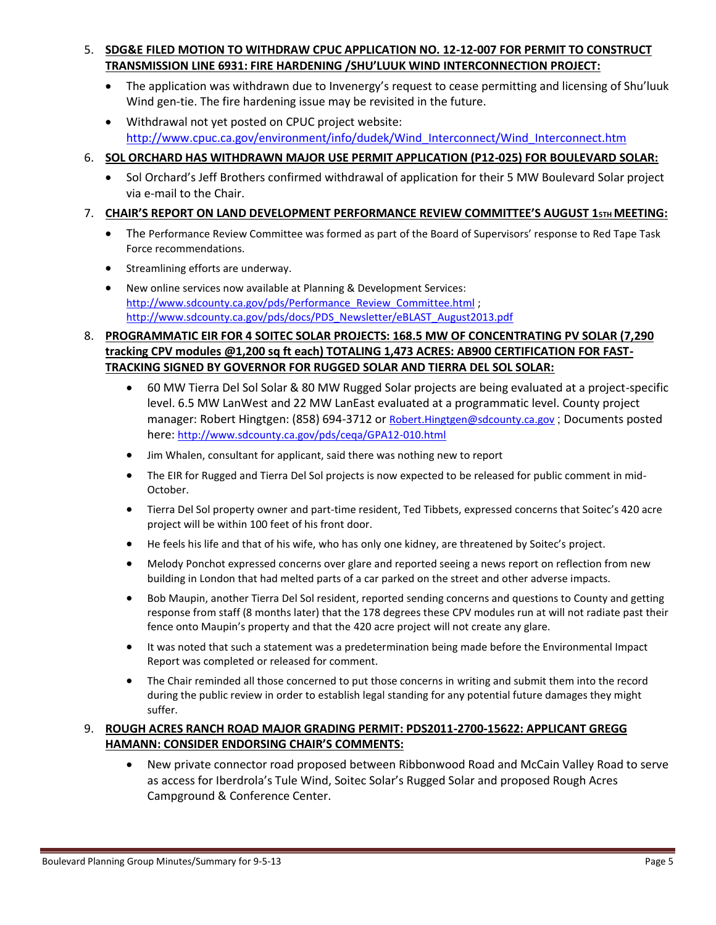# 5. **SDG&E FILED MOTION TO WITHDRAW CPUC APPLICATION NO. 12-12-007 FOR PERMIT TO CONSTRUCT TRANSMISSION LINE 6931: FIRE HARDENING /SHU'LUUK WIND INTERCONNECTION PROJECT:**

- The application was withdrawn due to Invenergy's request to cease permitting and licensing of Shu'luuk Wind gen-tie. The fire hardening issue may be revisited in the future.
- Withdrawal not yet posted on CPUC project website: http://www.cpuc.ca.gov/environment/info/dudek/Wind\_Interconnect/Wind\_Interconnect.htm

# 6. **SOL ORCHARD HAS WITHDRAWN MAJOR USE PERMIT APPLICATION (P12-025) FOR BOULEVARD SOLAR:**

• Sol Orchard's Jeff Brothers confirmed withdrawal of application for their 5 MW Boulevard Solar project via e-mail to the Chair.

# 7. **CHAIR'S REPORT ON LAND DEVELOPMENT PERFORMANCE REVIEW COMMITTEE'S AUGUST 15TH MEETING:**

- The Performance Review Committee was formed as part of the Board of Supervisors' response to Red Tape Task Force recommendations.
- Streamlining efforts are underway.
- New online services now available at Planning & Development Services: http://www.sdcounty.ca.gov/pds/Performance\_Review\_Committee.html; http://www.sdcounty.ca.gov/pds/docs/PDS\_Newsletter/eBLAST\_August2013.pdf

# 8. **PROGRAMMATIC EIR FOR 4 SOITEC SOLAR PROJECTS: 168.5 MW OF CONCENTRATING PV SOLAR (7,290 tracking CPV modules @1,200 sq ft each) TOTALING 1,473 ACRES: AB900 CERTIFICATION FOR FAST-TRACKING SIGNED BY GOVERNOR FOR RUGGED SOLAR AND TIERRA DEL SOL SOLAR:**

- 60 MW Tierra Del Sol Solar & 80 MW Rugged Solar projects are being evaluated at a project-specific level. 6.5 MW LanWest and 22 MW LanEast evaluated at a programmatic level. County project manager: Robert Hingtgen: (858) 694-3712 or Robert.Hingtgen@sdcounty.ca.gov ; Documents posted here: http://www.sdcounty.ca.gov/pds/ceqa/GPA12-010.html
- Jim Whalen, consultant for applicant, said there was nothing new to report
- The EIR for Rugged and Tierra Del Sol projects is now expected to be released for public comment in mid-October.
- Tierra Del Sol property owner and part-time resident, Ted Tibbets, expressed concerns that Soitec's 420 acre project will be within 100 feet of his front door.
- He feels his life and that of his wife, who has only one kidney, are threatened by Soitec's project.
- Melody Ponchot expressed concerns over glare and reported seeing a news report on reflection from new building in London that had melted parts of a car parked on the street and other adverse impacts.
- Bob Maupin, another Tierra Del Sol resident, reported sending concerns and questions to County and getting response from staff (8 months later) that the 178 degrees these CPV modules run at will not radiate past their fence onto Maupin's property and that the 420 acre project will not create any glare.
- It was noted that such a statement was a predetermination being made before the Environmental Impact Report was completed or released for comment.
- The Chair reminded all those concerned to put those concerns in writing and submit them into the record during the public review in order to establish legal standing for any potential future damages they might suffer.

# 9. **ROUGH ACRES RANCH ROAD MAJOR GRADING PERMIT: PDS2011-2700-15622: APPLICANT GREGG HAMANN: CONSIDER ENDORSING CHAIR'S COMMENTS:**

 New private connector road proposed between Ribbonwood Road and McCain Valley Road to serve as access for Iberdrola's Tule Wind, Soitec Solar's Rugged Solar and proposed Rough Acres Campground & Conference Center.